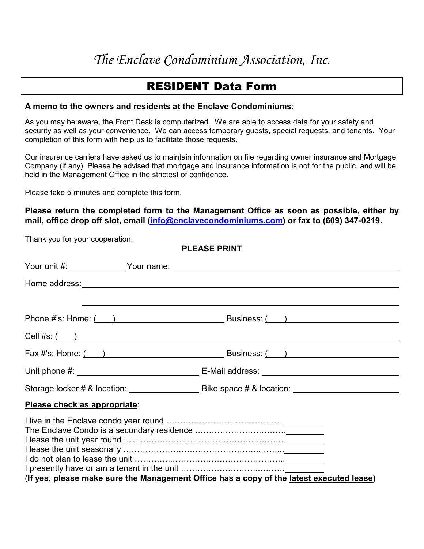## *The Enclave Condominium Association, Inc.*

## RESIDENT Data Form

## **A memo to the owners and residents at the Enclave Condominiums**:

As you may be aware, the Front Desk is computerized. We are able to access data for your safety and security as well as your convenience. We can access temporary guests, special requests, and tenants. Your completion of this form with help us to facilitate those requests.

Our insurance carriers have asked us to maintain information on file regarding owner insurance and Mortgage Company (if any). Please be advised that mortgage and insurance information is not for the public, and will be held in the Management Office in the strictest of confidence.

Please take 5 minutes and complete this form.

Thank you for your cooperation.

**Please return the completed form to the Management Office as soon as possible, either by mail, office drop off slot, email [\(info@enclavecondominiums.com\)](mailto:info@enclavecondominiums.com) or fax to (609) 347-0219.**

**PLEASE PRINT** Your unit #: Your name: Home address:  $\qquad \qquad \qquad$ Phone #'s: Home:  $($  ) Business:  $($  ) Cell #s: ( ) Fax #'s: Home:  $($  ) Business:  $($  ) Unit phone #: E-Mail address: Storage locker # & location: Bike space # & location: **Please check as appropriate**: I live in the Enclave condo year round …………………………………… The Enclave Condo is a secondary residence …………………………… I lease the unit year round ………………………………………….……… I lease the unit seasonally ……………………………………………………… I do not plan to lease the unit ……………………………………………<sub>…</sub> I presently have or am a tenant in the unit ………………………..……… (**If yes, please make sure the Management Office has a copy of the latest executed lease)**